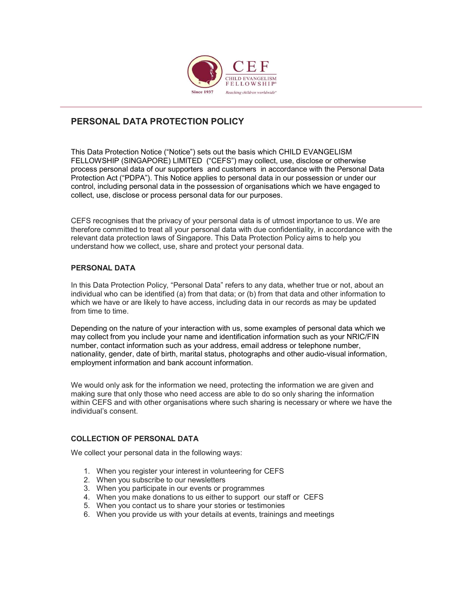

# PERSONAL DATA PROTECTION POLICY

This Data Protection Notice ("Notice") sets out the basis which CHILD EVANGELISM FELLOWSHIP (SINGAPORE) LIMITED ("CEFS") may collect, use, disclose or otherwise process personal data of our supporters and customers in accordance with the Personal Data Protection Act ("PDPA"). This Notice applies to personal data in our possession or under our control, including personal data in the possession of organisations which we have engaged to collect, use, disclose or process personal data for our purposes.

CEFS recognises that the privacy of your personal data is of utmost importance to us. We are therefore committed to treat all your personal data with due confidentiality, in accordance with the relevant data protection laws of Singapore. This Data Protection Policy aims to help you understand how we collect, use, share and protect your personal data.

## PERSONAL DATA

In this Data Protection Policy, "Personal Data" refers to any data, whether true or not, about an individual who can be identified (a) from that data; or (b) from that data and other information to which we have or are likely to have access, including data in our records as may be updated from time to time.

Depending on the nature of your interaction with us, some examples of personal data which we may collect from you include your name and identification information such as your NRIC/FIN number, contact information such as your address, email address or telephone number, nationality, gender, date of birth, marital status, photographs and other audio-visual information, employment information and bank account information.

We would only ask for the information we need, protecting the information we are given and making sure that only those who need access are able to do so only sharing the information within CEFS and with other organisations where such sharing is necessary or where we have the individual's consent.

## COLLECTION OF PERSONAL DATA

We collect your personal data in the following ways:

- 1. When you register your interest in volunteering for CEFS
- 2. When you subscribe to our newsletters
- 3. When you participate in our events or programmes
- 4. When you make donations to us either to support our staff or CEFS
- 5. When you contact us to share your stories or testimonies
- 6. When you provide us with your details at events, trainings and meetings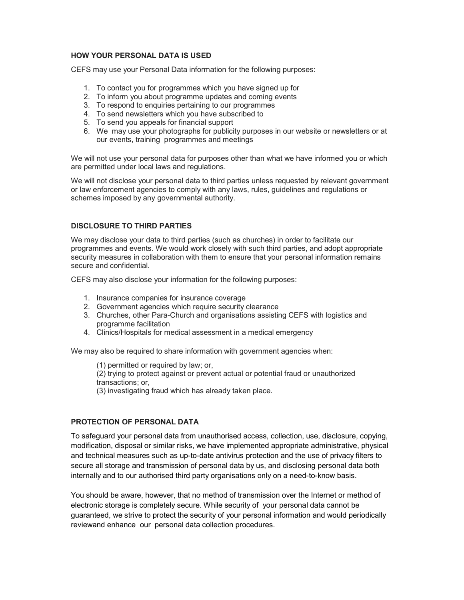## HOW YOUR PERSONAL DATA IS USED

CEFS may use your Personal Data information for the following purposes:

- 1. To contact you for programmes which you have signed up for
- 2. To inform you about programme updates and coming events
- 3. To respond to enquiries pertaining to our programmes
- 4. To send newsletters which you have subscribed to
- 5. To send you appeals for financial support
- 6. We may use your photographs for publicity purposes in our website or newsletters or at our events, training programmes and meetings

We will not use your personal data for purposes other than what we have informed you or which are permitted under local laws and regulations.

We will not disclose your personal data to third parties unless requested by relevant government or law enforcement agencies to comply with any laws, rules, guidelines and regulations or schemes imposed by any governmental authority.

## DISCLOSURE TO THIRD PARTIES

We may disclose your data to third parties (such as churches) in order to facilitate our programmes and events. We would work closely with such third parties, and adopt appropriate security measures in collaboration with them to ensure that your personal information remains secure and confidential.

CEFS may also disclose your information for the following purposes:

- 1. Insurance companies for insurance coverage
- 2. Government agencies which require security clearance
- 3. Churches, other Para-Church and organisations assisting CEFS with logistics and programme facilitation
- 4. Clinics/Hospitals for medical assessment in a medical emergency

We may also be required to share information with government agencies when:

(1) permitted or required by law; or,

 (2) trying to protect against or prevent actual or potential fraud or unauthorized transactions; or,

(3) investigating fraud which has already taken place.

## PROTECTION OF PERSONAL DATA

To safeguard your personal data from unauthorised access, collection, use, disclosure, copying, modification, disposal or similar risks, we have implemented appropriate administrative, physical and technical measures such as up-to-date antivirus protection and the use of privacy filters to secure all storage and transmission of personal data by us, and disclosing personal data both internally and to our authorised third party organisations only on a need-to-know basis.

You should be aware, however, that no method of transmission over the Internet or method of electronic storage is completely secure. While security of your personal data cannot be guaranteed, we strive to protect the security of your personal information and would periodically reviewand enhance our personal data collection procedures.